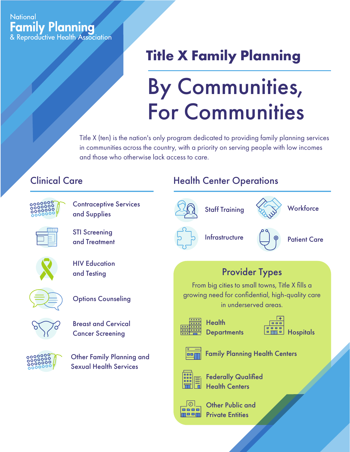#### **National Family Planning** & Reproductive Health Association

## **Title X Family Planning**

# By Communities, For Communities

Title X (ten) is the nation's only program dedicated to providing family planning services in communities across the country, with a priority on serving people with low incomes and those who otherwise lack access to care.

### Clinical Care



Contraceptive Services and Supplies

STI Screening and Treatment







**Options Counseling** 



Breast and Cervical Cancer Screening



Other Family Planning and Sexual Health Services

#### Health Center Operations